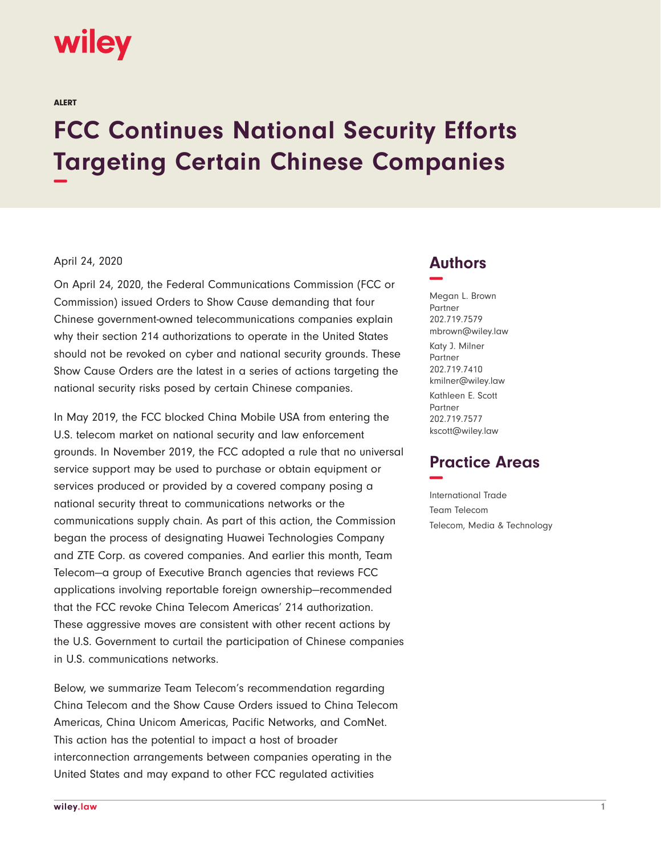# wiley

ALERT

# **FCC Continues National Security Efforts Targeting Certain Chinese Companies −**

#### April 24, 2020

On April 24, 2020, the Federal Communications Commission (FCC or Commission) issued Orders to Show Cause demanding that four Chinese government-owned telecommunications companies explain why their section 214 authorizations to operate in the United States should not be revoked on cyber and national security grounds. These Show Cause Orders are the latest in a series of actions targeting the national security risks posed by certain Chinese companies.

In May 2019, the FCC blocked China Mobile USA from entering the U.S. telecom market on national security and law enforcement grounds. In November 2019, the FCC adopted a rule that no universal service support may be used to purchase or obtain equipment or services produced or provided by a covered company posing a national security threat to communications networks or the communications supply chain. As part of this action, the Commission began the process of designating Huawei Technologies Company and ZTE Corp. as covered companies. And earlier this month, Team Telecom—a group of Executive Branch agencies that reviews FCC applications involving reportable foreign ownership—recommended that the FCC revoke China Telecom Americas' 214 authorization. These aggressive moves are consistent with other recent actions by the U.S. Government to curtail the participation of Chinese companies in U.S. communications networks.

Below, we summarize Team Telecom's recommendation regarding China Telecom and the Show Cause Orders issued to China Telecom Americas, China Unicom Americas, Pacific Networks, and ComNet. This action has the potential to impact a host of broader interconnection arrangements between companies operating in the United States and may expand to other FCC regulated activities

### **Authors −**

Megan L. Brown Partner 202.719.7579 mbrown@wiley.law Katy J. Milner Partner 202.719.7410 kmilner@wiley.law Kathleen E. Scott Partner 202.719.7577 kscott@wiley.law

## **Practice Areas −**

International Trade Team Telecom Telecom, Media & Technology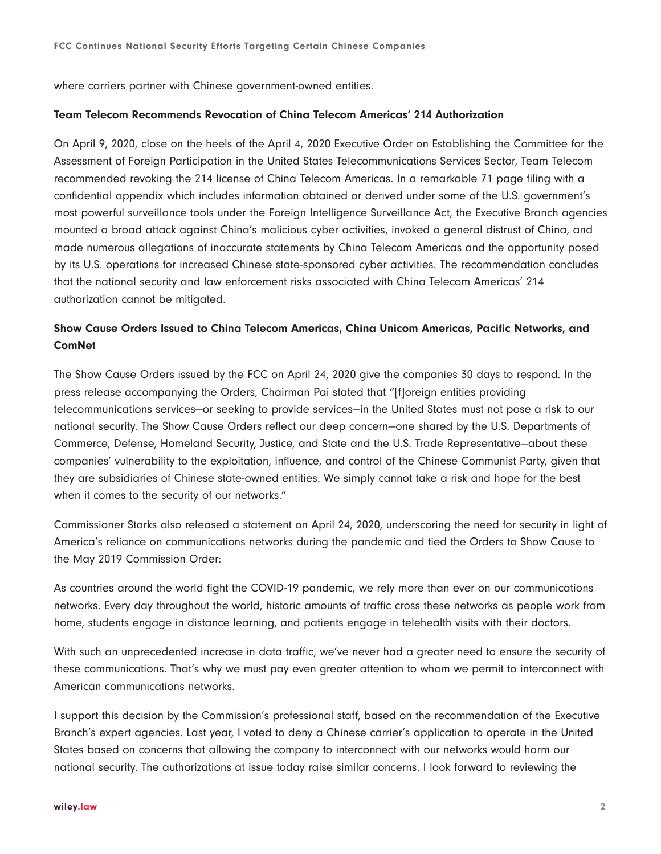where carriers partner with Chinese government-owned entities.

#### **Team Telecom Recommends Revocation of China Telecom Americas' 214 Authorization**

On April 9, 2020, close on the heels of the April 4, 2020 Executive Order on Establishing the Committee for the Assessment of Foreign Participation in the United States Telecommunications Services Sector, Team Telecom recommended revoking the 214 license of China Telecom Americas. In a remarkable 71 page filing with a confidential appendix which includes information obtained or derived under some of the U.S. government's most powerful surveillance tools under the Foreign Intelligence Surveillance Act, the Executive Branch agencies mounted a broad attack against China's malicious cyber activities, invoked a general distrust of China, and made numerous allegations of inaccurate statements by China Telecom Americas and the opportunity posed by its U.S. operations for increased Chinese state-sponsored cyber activities. The recommendation concludes that the national security and law enforcement risks associated with China Telecom Americas' 214 authorization cannot be mitigated.

#### **Show Cause Orders Issued to China Telecom Americas, China Unicom Americas, Pacific Networks, and ComNet**

The Show Cause Orders issued by the FCC on April 24, 2020 give the companies 30 days to respond. In the press release accompanying the Orders, Chairman Pai stated that "[f]oreign entities providing telecommunications services—or seeking to provide services—in the United States must not pose a risk to our national security. The Show Cause Orders reflect our deep concern—one shared by the U.S. Departments of Commerce, Defense, Homeland Security, Justice, and State and the U.S. Trade Representative—about these companies' vulnerability to the exploitation, influence, and control of the Chinese Communist Party, given that they are subsidiaries of Chinese state-owned entities. We simply cannot take a risk and hope for the best when it comes to the security of our networks."

Commissioner Starks also released a statement on April 24, 2020, underscoring the need for security in light of America's reliance on communications networks during the pandemic and tied the Orders to Show Cause to the May 2019 Commission Order:

As countries around the world fight the COVID-19 pandemic, we rely more than ever on our communications networks. Every day throughout the world, historic amounts of traffic cross these networks as people work from home, students engage in distance learning, and patients engage in telehealth visits with their doctors.

With such an unprecedented increase in data traffic, we've never had a greater need to ensure the security of these communications. That's why we must pay even greater attention to whom we permit to interconnect with American communications networks.

I support this decision by the Commission's professional staff, based on the recommendation of the Executive Branch's expert agencies. Last year, I voted to deny a Chinese carrier's application to operate in the United States based on concerns that allowing the company to interconnect with our networks would harm our national security. The authorizations at issue today raise similar concerns. I look forward to reviewing the